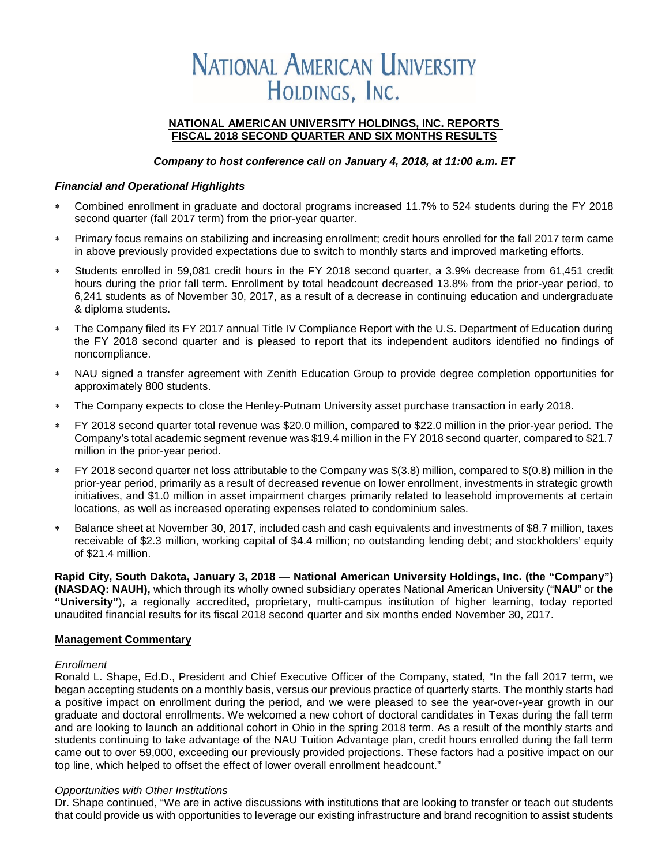# **NATIONAL AMERICAN UNIVERSITY** HOLDINGS, INC.

# **NATIONAL AMERICAN UNIVERSITY HOLDINGS, INC. REPORTS FISCAL 2018 SECOND QUARTER AND SIX MONTHS RESULTS**

#### *Company to host conference call on January 4, 2018, at 11:00 a.m. ET*

# *Financial and Operational Highlights*

- ∗ Combined enrollment in graduate and doctoral programs increased 11.7% to 524 students during the FY 2018 second quarter (fall 2017 term) from the prior-year quarter.
- ∗ Primary focus remains on stabilizing and increasing enrollment; credit hours enrolled for the fall 2017 term came in above previously provided expectations due to switch to monthly starts and improved marketing efforts.
- ∗ Students enrolled in 59,081 credit hours in the FY 2018 second quarter, a 3.9% decrease from 61,451 credit hours during the prior fall term. Enrollment by total headcount decreased 13.8% from the prior-year period, to 6,241 students as of November 30, 2017, as a result of a decrease in continuing education and undergraduate & diploma students.
- The Company filed its FY 2017 annual Title IV Compliance Report with the U.S. Department of Education during the FY 2018 second quarter and is pleased to report that its independent auditors identified no findings of noncompliance.
- ∗ NAU signed a transfer agreement with Zenith Education Group to provide degree completion opportunities for approximately 800 students.
- The Company expects to close the Henley-Putnam University asset purchase transaction in early 2018.
- ∗ FY 2018 second quarter total revenue was \$20.0 million, compared to \$22.0 million in the prior-year period. The Company's total academic segment revenue was \$19.4 million in the FY 2018 second quarter, compared to \$21.7 million in the prior-year period.
- FY 2018 second quarter net loss attributable to the Company was \$(3.8) million, compared to \$(0.8) million in the prior-year period, primarily as a result of decreased revenue on lower enrollment, investments in strategic growth initiatives, and \$1.0 million in asset impairment charges primarily related to leasehold improvements at certain locations, as well as increased operating expenses related to condominium sales.
- Balance sheet at November 30, 2017, included cash and cash equivalents and investments of \$8.7 million, taxes receivable of \$2.3 million, working capital of \$4.4 million; no outstanding lending debt; and stockholders' equity of \$21.4 million.

**Rapid City, South Dakota, January 3, 2018 — National American University Holdings, Inc. (the "Company") (NASDAQ: NAUH),** which through its wholly owned subsidiary operates National American University ("**NAU**" or **the "University"**), a regionally accredited, proprietary, multi-campus institution of higher learning, today reported unaudited financial results for its fiscal 2018 second quarter and six months ended November 30, 2017.

# **Management Commentary**

# *Enrollment*

Ronald L. Shape, Ed.D., President and Chief Executive Officer of the Company, stated, "In the fall 2017 term, we began accepting students on a monthly basis, versus our previous practice of quarterly starts. The monthly starts had a positive impact on enrollment during the period, and we were pleased to see the year-over-year growth in our graduate and doctoral enrollments. We welcomed a new cohort of doctoral candidates in Texas during the fall term and are looking to launch an additional cohort in Ohio in the spring 2018 term. As a result of the monthly starts and students continuing to take advantage of the NAU Tuition Advantage plan, credit hours enrolled during the fall term came out to over 59,000, exceeding our previously provided projections. These factors had a positive impact on our top line, which helped to offset the effect of lower overall enrollment headcount."

# *Opportunities with Other Institutions*

Dr. Shape continued, "We are in active discussions with institutions that are looking to transfer or teach out students that could provide us with opportunities to leverage our existing infrastructure and brand recognition to assist students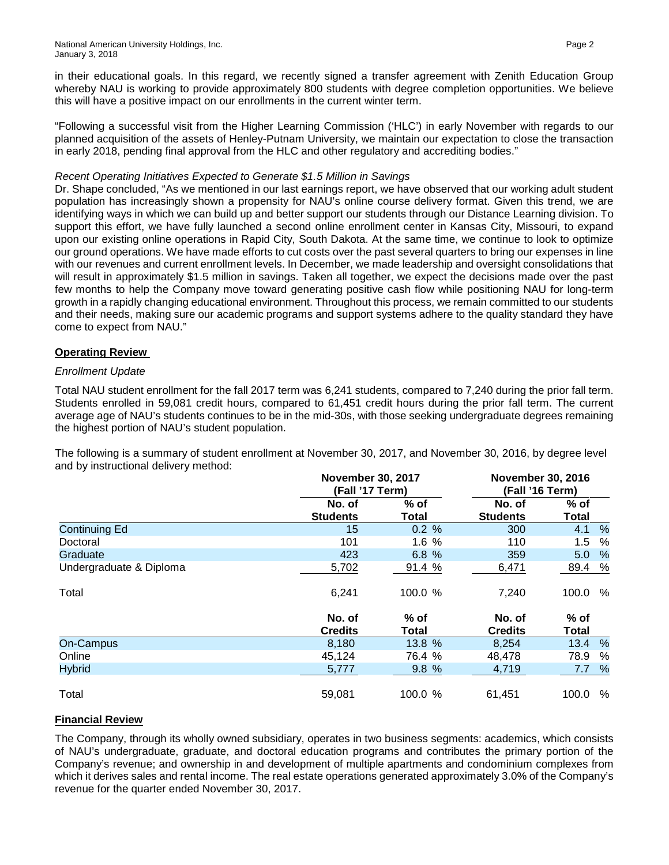in their educational goals. In this regard, we recently signed a transfer agreement with Zenith Education Group whereby NAU is working to provide approximately 800 students with degree completion opportunities. We believe this will have a positive impact on our enrollments in the current winter term.

"Following a successful visit from the Higher Learning Commission ('HLC') in early November with regards to our planned acquisition of the assets of Henley-Putnam University, we maintain our expectation to close the transaction in early 2018, pending final approval from the HLC and other regulatory and accrediting bodies."

# *Recent Operating Initiatives Expected to Generate \$1.5 Million in Savings*

Dr. Shape concluded, "As we mentioned in our last earnings report, we have observed that our working adult student population has increasingly shown a propensity for NAU's online course delivery format. Given this trend, we are identifying ways in which we can build up and better support our students through our Distance Learning division. To support this effort, we have fully launched a second online enrollment center in Kansas City, Missouri, to expand upon our existing online operations in Rapid City, South Dakota. At the same time, we continue to look to optimize our ground operations. We have made efforts to cut costs over the past several quarters to bring our expenses in line with our revenues and current enrollment levels. In December, we made leadership and oversight consolidations that will result in approximately \$1.5 million in savings. Taken all together, we expect the decisions made over the past few months to help the Company move toward generating positive cash flow while positioning NAU for long-term growth in a rapidly changing educational environment. Throughout this process, we remain committed to our students and their needs, making sure our academic programs and support systems adhere to the quality standard they have come to expect from NAU."

# **Operating Review**

# *Enrollment Update*

Total NAU student enrollment for the fall 2017 term was 6,241 students, compared to 7,240 during the prior fall term. Students enrolled in 59,081 credit hours, compared to 61,451 credit hours during the prior fall term. The current average age of NAU's students continues to be in the mid-30s, with those seeking undergraduate degrees remaining the highest portion of NAU's student population.

The following is a summary of student enrollment at November 30, 2017, and November 30, 2016, by degree level and by instructional delivery method:

|                         | <b>November 30, 2017</b><br>(Fall '17 Term) |                 | <b>November 30, 2016</b><br>(Fall '16 Term) |                 |  |  |  |
|-------------------------|---------------------------------------------|-----------------|---------------------------------------------|-----------------|--|--|--|
|                         | No. of<br><b>Students</b>                   | $%$ of<br>Total | No. of<br><b>Students</b>                   | $%$ of<br>Total |  |  |  |
| <b>Continuing Ed</b>    | 15                                          | 0.2%            | 300                                         | %<br>4.1        |  |  |  |
| Doctoral                | 101                                         | 1.6%            | 110                                         | 1.5<br>%        |  |  |  |
| Graduate                | 423                                         | 6.8%            | 359                                         | %<br>5.0        |  |  |  |
| Undergraduate & Diploma | 5,702                                       | 91.4 %          | 6,471                                       | %<br>89.4       |  |  |  |
| Total                   | 6,241                                       | 100.0 %         | 7,240                                       | %<br>100.0      |  |  |  |
|                         | No. of<br><b>Credits</b>                    | $%$ of<br>Total | No. of<br><b>Credits</b>                    | $%$ of<br>Total |  |  |  |
| On-Campus               | 8,180                                       | 13.8 %          | 8,254                                       | 13.4<br>%       |  |  |  |
| Online                  | 45.124                                      | 76.4 %          | 48.478                                      | 78.9<br>%       |  |  |  |
| <b>Hybrid</b>           | 5,777                                       | 9.8%            | 4,719                                       | %<br>7.7        |  |  |  |
| Total                   | 59,081                                      | 100.0 %         | 61,451                                      | 100.0<br>%      |  |  |  |

# **Financial Review**

The Company, through its wholly owned subsidiary, operates in two business segments: academics, which consists of NAU's undergraduate, graduate, and doctoral education programs and contributes the primary portion of the Company's revenue; and ownership in and development of multiple apartments and condominium complexes from which it derives sales and rental income. The real estate operations generated approximately 3.0% of the Company's revenue for the quarter ended November 30, 2017.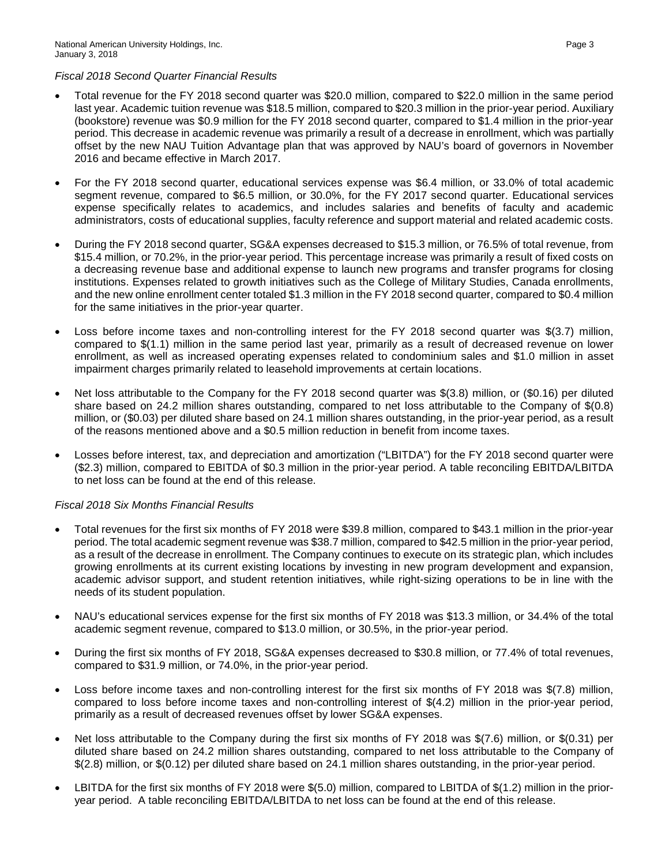# *Fiscal 2018 Second Quarter Financial Results*

- Total revenue for the FY 2018 second quarter was \$20.0 million, compared to \$22.0 million in the same period last year. Academic tuition revenue was \$18.5 million, compared to \$20.3 million in the prior-year period. Auxiliary (bookstore) revenue was \$0.9 million for the FY 2018 second quarter, compared to \$1.4 million in the prior-year period. This decrease in academic revenue was primarily a result of a decrease in enrollment, which was partially offset by the new NAU Tuition Advantage plan that was approved by NAU's board of governors in November 2016 and became effective in March 2017.
- For the FY 2018 second quarter, educational services expense was \$6.4 million, or 33.0% of total academic segment revenue, compared to \$6.5 million, or 30.0%, for the FY 2017 second quarter. Educational services expense specifically relates to academics, and includes salaries and benefits of faculty and academic administrators, costs of educational supplies, faculty reference and support material and related academic costs.
- During the FY 2018 second quarter, SG&A expenses decreased to \$15.3 million, or 76.5% of total revenue, from \$15.4 million, or 70.2%, in the prior-year period. This percentage increase was primarily a result of fixed costs on a decreasing revenue base and additional expense to launch new programs and transfer programs for closing institutions. Expenses related to growth initiatives such as the College of Military Studies, Canada enrollments, and the new online enrollment center totaled \$1.3 million in the FY 2018 second quarter, compared to \$0.4 million for the same initiatives in the prior-year quarter.
- Loss before income taxes and non-controlling interest for the FY 2018 second quarter was \$(3.7) million, compared to \$(1.1) million in the same period last year, primarily as a result of decreased revenue on lower enrollment, as well as increased operating expenses related to condominium sales and \$1.0 million in asset impairment charges primarily related to leasehold improvements at certain locations.
- Net loss attributable to the Company for the FY 2018 second quarter was \$(3.8) million, or (\$0.16) per diluted share based on 24.2 million shares outstanding, compared to net loss attributable to the Company of \$(0.8) million, or (\$0.03) per diluted share based on 24.1 million shares outstanding, in the prior-year period, as a result of the reasons mentioned above and a \$0.5 million reduction in benefit from income taxes.
- Losses before interest, tax, and depreciation and amortization ("LBITDA") for the FY 2018 second quarter were (\$2.3) million, compared to EBITDA of \$0.3 million in the prior-year period. A table reconciling EBITDA/LBITDA to net loss can be found at the end of this release.

# *Fiscal 2018 Six Months Financial Results*

- Total revenues for the first six months of FY 2018 were \$39.8 million, compared to \$43.1 million in the prior-year period. The total academic segment revenue was \$38.7 million, compared to \$42.5 million in the prior-year period, as a result of the decrease in enrollment. The Company continues to execute on its strategic plan, which includes growing enrollments at its current existing locations by investing in new program development and expansion, academic advisor support, and student retention initiatives, while right-sizing operations to be in line with the needs of its student population.
- NAU's educational services expense for the first six months of FY 2018 was \$13.3 million, or 34.4% of the total academic segment revenue, compared to \$13.0 million, or 30.5%, in the prior-year period.
- During the first six months of FY 2018, SG&A expenses decreased to \$30.8 million, or 77.4% of total revenues, compared to \$31.9 million, or 74.0%, in the prior-year period.
- Loss before income taxes and non-controlling interest for the first six months of FY 2018 was \$(7.8) million, compared to loss before income taxes and non-controlling interest of \$(4.2) million in the prior-year period, primarily as a result of decreased revenues offset by lower SG&A expenses.
- Net loss attributable to the Company during the first six months of FY 2018 was \$(7.6) million, or \$(0.31) per diluted share based on 24.2 million shares outstanding, compared to net loss attributable to the Company of \$(2.8) million, or \$(0.12) per diluted share based on 24.1 million shares outstanding, in the prior-year period.
- LBITDA for the first six months of FY 2018 were \$(5.0) million, compared to LBITDA of \$(1.2) million in the prioryear period. A table reconciling EBITDA/LBITDA to net loss can be found at the end of this release.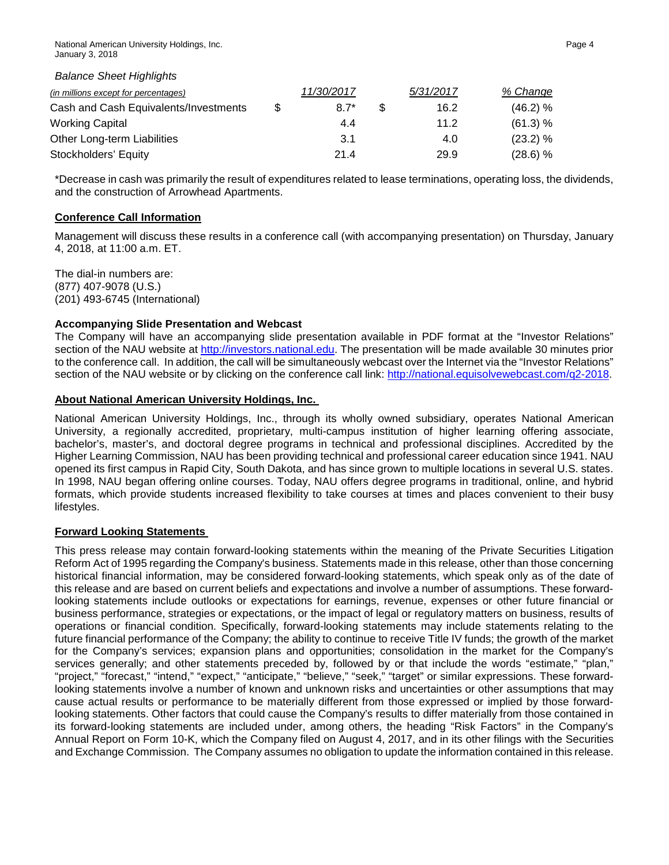National American University Holdings, Inc. **Page 4** and the state of the state of the state of the state of the state of the state of the state of the state of the state of the state of the state of the state of the state January 3, 2018

*Balance Sheet Highlights*

| (in millions except for percentages)  | 11/30/2017 | 5/31/2017  | % Change |
|---------------------------------------|------------|------------|----------|
| Cash and Cash Equivalents/Investments | $8.7*$     | \$<br>16.2 | (46.2) % |
| Working Capital                       | 4.4        | 11.2       | (61.3) % |
| Other Long-term Liabilities           | 3.1        | 4.0        | (23.2) % |
| Stockholders' Equity                  | 21.4       | 29.9       | (28.6) % |

\*Decrease in cash was primarily the result of expenditures related to lease terminations, operating loss, the dividends, and the construction of Arrowhead Apartments.

# **Conference Call Information**

Management will discuss these results in a conference call (with accompanying presentation) on Thursday, January 4, 2018, at 11:00 a.m. ET.

The dial-in numbers are: (877) 407-9078 (U.S.) (201) 493-6745 (International)

# **Accompanying Slide Presentation and Webcast**

The Company will have an accompanying slide presentation available in PDF format at the "Investor Relations" section of the NAU website at [http://investors.national.edu.](http://investors.national.edu/) The presentation will be made available 30 minutes prior to the conference call. In addition, the call will be simultaneously webcast over the Internet via the "Investor Relations" section of the NAU website or by clicking on the conference call link: [http://national.equisolvewebcast.com/q2-2018.](http://national.equisolvewebcast.com/q2-2018)

# **About National American University Holdings, Inc.**

National American University Holdings, Inc., through its wholly owned subsidiary, operates National American University, a regionally accredited, proprietary, multi-campus institution of higher learning offering associate, bachelor's, master's, and doctoral degree programs in technical and professional disciplines. Accredited by the Higher Learning Commission, NAU has been providing technical and professional career education since 1941. NAU opened its first campus in Rapid City, South Dakota, and has since grown to multiple locations in several U.S. states. In 1998, NAU began offering online courses. Today, NAU offers degree programs in traditional, online, and hybrid formats, which provide students increased flexibility to take courses at times and places convenient to their busy lifestyles.

# **Forward Looking Statements**

This press release may contain forward-looking statements within the meaning of the Private Securities Litigation Reform Act of 1995 regarding the Company's business. Statements made in this release, other than those concerning historical financial information, may be considered forward-looking statements, which speak only as of the date of this release and are based on current beliefs and expectations and involve a number of assumptions. These forwardlooking statements include outlooks or expectations for earnings, revenue, expenses or other future financial or business performance, strategies or expectations, or the impact of legal or regulatory matters on business, results of operations or financial condition. Specifically, forward-looking statements may include statements relating to the future financial performance of the Company; the ability to continue to receive Title IV funds; the growth of the market for the Company's services; expansion plans and opportunities; consolidation in the market for the Company's services generally; and other statements preceded by, followed by or that include the words "estimate," "plan," "project," "forecast," "intend," "expect," "anticipate," "believe," "seek," "target" or similar expressions. These forwardlooking statements involve a number of known and unknown risks and uncertainties or other assumptions that may cause actual results or performance to be materially different from those expressed or implied by those forwardlooking statements. Other factors that could cause the Company's results to differ materially from those contained in its forward-looking statements are included under, among others, the heading "Risk Factors" in the Company's Annual Report on Form 10-K, which the Company filed on August 4, 2017, and in its other filings with the Securities and Exchange Commission. The Company assumes no obligation to update the information contained in this release.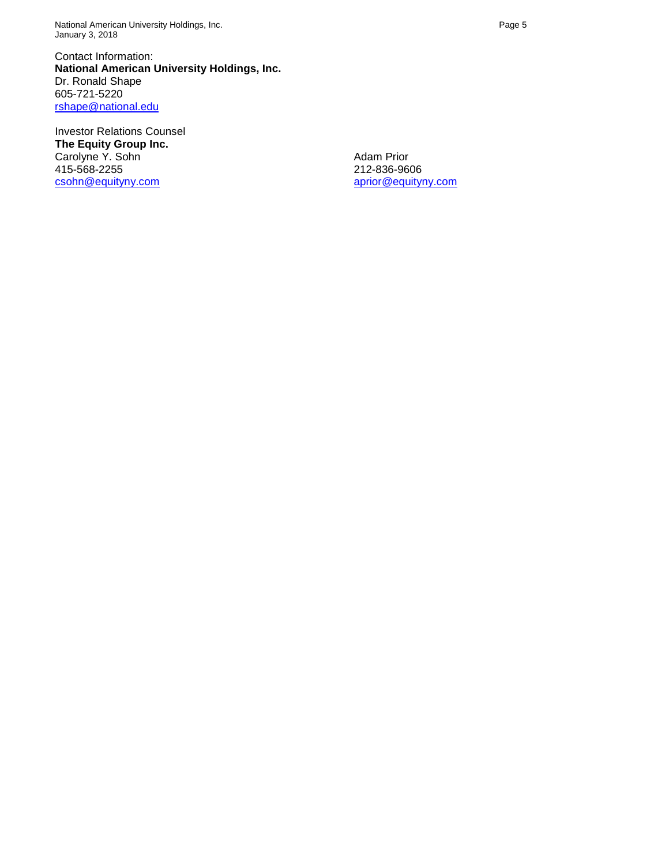National American University Holdings, Inc. Page 5 January 3, 2018

Contact Information: **National American University Holdings, Inc.** Dr. Ronald Shape 605-721-5220 [rshape@national.edu](mailto:rshape@national.edu)

Investor Relations Counsel **The Equity Group Inc.** Carolyne Y. Sohn 415-568-2255 [csohn@equityny.com](mailto:csohn@equityny.com)

Adam Prior 212-836-9606 [aprior@equityny.com](mailto:aprior@equityny.com)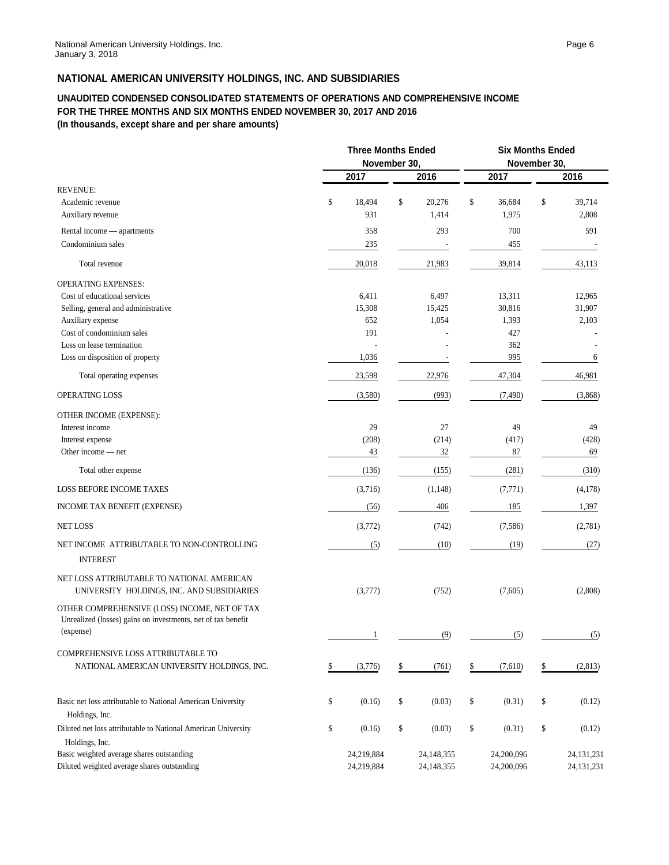# **NATIONAL AMERICAN UNIVERSITY HOLDINGS, INC. AND SUBSIDIARIES**

# **UNAUDITED CONDENSED CONSOLIDATED STATEMENTS OF OPERATIONS AND COMPREHENSIVE INCOME FOR THE THREE MONTHS AND SIX MONTHS ENDED NOVEMBER 30, 2017 AND 2016 (In thousands, except share and per share amounts)**

|                                                                                                               | <b>Three Months Ended</b><br>November 30, |              |    | <b>Six Months Ended</b><br>November 30, |    |            |    |              |  |
|---------------------------------------------------------------------------------------------------------------|-------------------------------------------|--------------|----|-----------------------------------------|----|------------|----|--------------|--|
|                                                                                                               | 2017                                      |              |    | 2016                                    |    | 2017       |    | 2016         |  |
| <b>REVENUE:</b>                                                                                               |                                           |              |    |                                         |    |            |    |              |  |
| Academic revenue                                                                                              | \$                                        | 18,494       | \$ | 20,276                                  | \$ | 36,684     | \$ | 39,714       |  |
| Auxiliary revenue                                                                                             |                                           | 931          |    | 1,414                                   |    | 1,975      |    | 2,808        |  |
| Rental income — apartments                                                                                    |                                           | 358          |    | 293                                     |    | 700        |    | 591          |  |
| Condominium sales                                                                                             |                                           | 235          |    |                                         |    | 455        |    |              |  |
| Total revenue                                                                                                 |                                           | 20,018       |    | 21,983                                  |    | 39,814     |    | 43,113       |  |
| <b>OPERATING EXPENSES:</b>                                                                                    |                                           |              |    |                                         |    |            |    |              |  |
| Cost of educational services                                                                                  |                                           | 6,411        |    | 6,497                                   |    | 13,311     |    | 12,965       |  |
| Selling, general and administrative                                                                           |                                           | 15,308       |    | 15,425                                  |    | 30,816     |    | 31,907       |  |
| Auxiliary expense                                                                                             |                                           | 652          |    | 1,054                                   |    | 1,393      |    | 2,103        |  |
| Cost of condominium sales                                                                                     |                                           | 191          |    |                                         |    | 427        |    |              |  |
| Loss on lease termination                                                                                     |                                           |              |    |                                         |    | 362        |    |              |  |
| Loss on disposition of property                                                                               |                                           | 1,036        |    |                                         |    | 995        |    | 6            |  |
| Total operating expenses                                                                                      |                                           | 23,598       |    | 22,976                                  |    | 47,304     |    | 46,981       |  |
| OPERATING LOSS                                                                                                |                                           | (3,580)      |    | (993)                                   |    | (7, 490)   |    | (3,868)      |  |
| OTHER INCOME (EXPENSE):                                                                                       |                                           |              |    |                                         |    |            |    |              |  |
| Interest income                                                                                               |                                           | 29           |    | 27                                      |    | 49         |    | 49           |  |
| Interest expense                                                                                              |                                           | (208)        |    | (214)                                   |    | (417)      |    | (428)        |  |
| Other income — net                                                                                            |                                           | 43           |    | 32                                      |    | 87         |    | 69           |  |
| Total other expense                                                                                           |                                           | (136)        |    | (155)                                   |    | (281)      |    | (310)        |  |
| LOSS BEFORE INCOME TAXES                                                                                      |                                           | (3,716)      |    | (1, 148)                                |    | (7, 771)   |    | (4,178)      |  |
| INCOME TAX BENEFIT (EXPENSE)                                                                                  |                                           | (56)         |    | 406                                     |    | 185        |    | 1,397        |  |
| <b>NET LOSS</b>                                                                                               |                                           | (3,772)      |    | (742)                                   |    | (7,586)    |    | (2,781)      |  |
| NET INCOME ATTRIBUTABLE TO NON-CONTROLLING<br><b>INTEREST</b>                                                 |                                           | (5)          |    | (10)                                    |    | (19)       |    | (27)         |  |
| NET LOSS ATTRIBUTABLE TO NATIONAL AMERICAN<br>UNIVERSITY HOLDINGS, INC. AND SUBSIDIARIES                      |                                           | (3,777)      |    | (752)                                   |    | (7,605)    |    | (2,808)      |  |
| OTHER COMPREHENSIVE (LOSS) INCOME, NET OF TAX<br>Unrealized (losses) gains on investments, net of tax benefit |                                           |              |    |                                         |    |            |    |              |  |
| (expense)                                                                                                     |                                           | $\mathbf{1}$ |    | (9)                                     |    | (5)        |    | (5)          |  |
| COMPREHENSIVE LOSS ATTRIBUTABLE TO                                                                            |                                           |              |    |                                         |    |            |    |              |  |
| NATIONAL AMERICAN UNIVERSITY HOLDINGS, INC.                                                                   | \$                                        | (3,776)      | \$ | (761)                                   | \$ | (7,610)    | \$ | (2, 813)     |  |
| Basic net loss attributable to National American University<br>Holdings, Inc.                                 | \$                                        | (0.16)       | \$ | (0.03)                                  | \$ | (0.31)     | \$ | (0.12)       |  |
| Diluted net loss attributable to National American University                                                 | \$                                        | (0.16)       | \$ | (0.03)                                  | \$ | (0.31)     | \$ | (0.12)       |  |
| Holdings, Inc.                                                                                                |                                           |              |    |                                         |    |            |    |              |  |
| Basic weighted average shares outstanding                                                                     |                                           | 24,219,884   |    | 24,148,355                              |    | 24,200,096 |    | 24, 131, 231 |  |
| Diluted weighted average shares outstanding                                                                   |                                           | 24,219,884   |    | 24,148,355                              |    | 24,200,096 |    | 24, 131, 231 |  |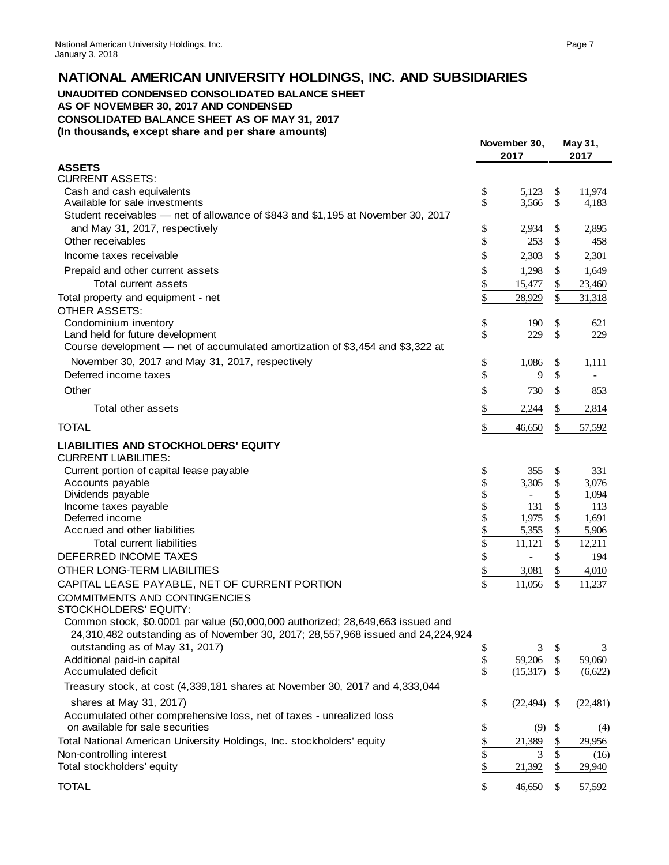# **NATIONAL AMERICAN UNIVERSITY HOLDINGS, INC. AND SUBSIDIARIES**

#### **UNAUDITED CONDENSED CONSOLIDATED BALANCE SHEET AS OF NOVEMBER 30, 2017 AND CONDENSED CONSOLIDATED BALANCE SHEET AS OF MAY 31, 2017 (In thousands, except share and per share amounts)**

|                                                                                  | November 30, |                          | May 31,       |                          |
|----------------------------------------------------------------------------------|--------------|--------------------------|---------------|--------------------------|
| <b>ASSETS</b>                                                                    |              | 2017                     |               | 2017                     |
| <b>CURRENT ASSETS:</b>                                                           |              |                          |               |                          |
| Cash and cash equivalents                                                        | \$           | 5,123                    | \$            | 11,974                   |
| Available for sale investments                                                   | \$           | 3,566                    | \$            | 4,183                    |
| Student receivables - net of allowance of \$843 and \$1,195 at November 30, 2017 |              |                          |               |                          |
| and May 31, 2017, respectively                                                   | \$           | 2,934                    | \$            | 2,895                    |
| Other receivables                                                                | \$           | 253                      | \$            | 458                      |
| Income taxes receivable                                                          | \$           | 2,303                    | \$            | 2,301                    |
| Prepaid and other current assets                                                 | \$           | 1,298                    | \$            | 1,649                    |
| Total current assets                                                             | \$           | 15,477                   | \$            | 23,460                   |
| Total property and equipment - net                                               | \$           | 28,929                   | \$            | 31,318                   |
| <b>OTHER ASSETS:</b>                                                             |              |                          |               |                          |
| Condominium inventory                                                            | \$           | 190                      | \$            | 621                      |
| Land held for future development                                                 | \$           | 229                      | \$            | 229                      |
| Course development - net of accumulated amortization of \$3,454 and \$3,322 at   |              |                          |               |                          |
| November 30, 2017 and May 31, 2017, respectively                                 | \$           | 1,086                    | \$            | 1,111                    |
| Deferred income taxes                                                            | \$           | 9                        | \$            | $\overline{\phantom{a}}$ |
| Other                                                                            | \$           | 730                      | \$            | 853                      |
| Total other assets                                                               | \$           | 2,244                    | \$            | 2,814                    |
| <b>TOTAL</b>                                                                     | \$           | 46,650                   | \$            | 57,592                   |
| <b>LIABILITIES AND STOCKHOLDERS' EQUITY</b>                                      |              |                          |               |                          |
| <b>CURRENT LIABILITIES:</b>                                                      |              |                          |               |                          |
| Current portion of capital lease payable                                         | \$           | 355                      | \$            | 331                      |
| Accounts payable                                                                 | \$           | 3,305                    | \$            | 3,076                    |
| Dividends payable                                                                | \$           | $\overline{\phantom{a}}$ | \$            | 1,094                    |
| Income taxes payable<br>Deferred income                                          | \$<br>\$     | 131                      | \$<br>\$      | 113                      |
| Accrued and other liabilities                                                    | \$           | 1,975<br>5,355           | \$            | 1,691<br>5,906           |
| <b>Total current liabilities</b>                                                 | \$           | 11,121                   | \$            | 12,211                   |
| DEFERRED INCOME TAXES                                                            | \$           |                          | \$            | 194                      |
| OTHER LONG-TERM LIABILITIES                                                      | \$           | 3,081                    | \$            | 4,010                    |
| CAPITAL LEASE PAYABLE, NET OF CURRENT PORTION                                    |              |                          |               |                          |
| <b>COMMITMENTS AND CONTINGENCIES</b>                                             | \$           | 11,056                   | \$            | 11,237                   |
| STOCKHOLDERS' EQUITY:                                                            |              |                          |               |                          |
| Common stock, \$0.0001 par value (50,000,000 authorized; 28,649,663 issued and   |              |                          |               |                          |
| 24,310,482 outstanding as of November 30, 2017; 28,557,968 issued and 24,224,924 |              |                          |               |                          |
| outstanding as of May 31, 2017)                                                  | \$           | 3                        | \$            | 3                        |
| Additional paid-in capital                                                       | \$           | 59,206                   | $\mathcal{S}$ | 59,060                   |
| Accumulated deficit                                                              | \$           | $(15,317)$ \$            |               | (6,622)                  |
| Treasury stock, at cost (4,339,181 shares at November 30, 2017 and 4,333,044     |              |                          |               |                          |
| shares at May 31, 2017)                                                          | \$           | $(22, 494)$ \$           |               | (22, 481)                |
| Accumulated other comprehensive loss, net of taxes - unrealized loss             |              |                          |               |                          |
| on available for sale securities                                                 | \$           | (9)                      | \$            | (4)                      |
| Total National American University Holdings, Inc. stockholders' equity           | \$           | 21,389                   | \$            | 29,956                   |
| Non-controlling interest                                                         | \$           | 3                        | \$            | (16)                     |
| Total stockholders' equity                                                       | \$           | 21,392                   | \$            | 29,940                   |
| <b>TOTAL</b>                                                                     | \$           | 46,650                   | $\mathbb{S}$  | 57,592                   |